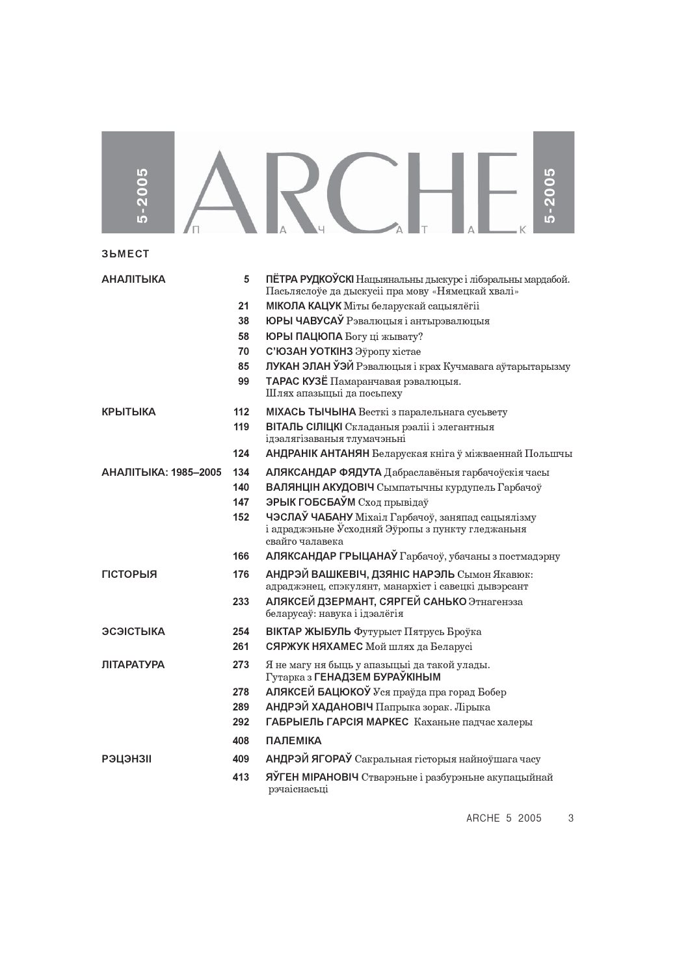| 5-2005               |       | 2005                                                                                                                                 |
|----------------------|-------|--------------------------------------------------------------------------------------------------------------------------------------|
| <b>3bMECT</b>        |       |                                                                                                                                      |
| <b>АНАЛІТЫКА</b>     | 5     | ПЁТРА РУДКОЎСКІ Нацыянальны дыскурс і лібэральны мардабой.<br>Пасьляслоўе да дыскусіі пра мову «Нямецкай хвалі»                      |
|                      | 21    | МІКОЛА КАЦУК Міты беларускай сацыялёгіі                                                                                              |
|                      | 38    | ЮРЫ ЧАВУСАЎ Рэвалюцыя і антырэвалюцыя                                                                                                |
|                      | 58    | ЮРЫ ПАЦЮПА Богу ці жывату?                                                                                                           |
|                      | 70    | С'ЮЗАН УОТКІНЗ Эўропу хістае                                                                                                         |
|                      | 85    | ЛУКАН ЭЛАН ЎЭЙ Рэвалюцыя і крах Кучмавага аўтарытарызму                                                                              |
|                      | 99    | ТАРАС КУЗЁ Памаранчавая рэвалюцыя.<br>Шлях апазыцыі да посынеху                                                                      |
| <b>КРЫТЫКА</b>       | $112$ | МІХАСЬ ТЫЧЫНА Весткі з паралельнага сусьвету                                                                                         |
|                      | 119   | ВІТАЛЬ СІЛІЦКІ Складаныя рэаліі і элегантныя<br>ідэалягізаваныя тлумачэньні                                                          |
|                      | 124   | АНДРАНІК АНТАНЯН Беларуская кніга ў міжваеннай Польшчы                                                                               |
| АНАЛІТЫКА: 1985-2005 | 134   | АЛЯКСАНДАР ФЯДУТА Дабраславёныя гарбачоўскія часы                                                                                    |
|                      | 140   | ВАЛЯНЦІН АКУДОВІЧ Сымпатычны курдупель Гарбачоў                                                                                      |
|                      | 147   | ЭРЫК ГОБСБАЎМ Сход прывідаў                                                                                                          |
|                      | 152   | ЧЭСЛАЎ ЧАБАНУ Міхаіл Гарбачоў, заняпад сацыялізму<br>і адраджэньне $\tilde{y}$ сходняй Эўропы з пункту гледжаньня<br>свайго чалавека |
|                      | 166   | АЛЯКСАНДАР ГРЫЦАНАЎ Гарбачоў, убачаны з постмадэрну                                                                                  |
| <b>ГІСТОРЫЯ</b>      | 176   | АНДРЭЙ ВАШКЕВІЧ, ДЗЯНІС НАРЭЛЬ Сымон Якавюк:<br>адраджэнец, спэкулянт, манархіст і савецкі дывэрсант                                 |
|                      | 233   | АЛЯКСЕЙ ДЗЕРМАНТ, СЯРГЕЙ САНЬКО Этнагенэза<br>беларусаў: навука і ідэалёгія                                                          |
| ЭСЭІСТЫКА            | 254   | ВІКТАР ЖЫБУЛЬ Футурыст Пятрусь Броўка                                                                                                |
|                      | 261   | СЯРЖУК НЯХАМЕС Мой шлях да Беларусі                                                                                                  |
| <b>ЛІТАРАТУРА</b>    | 273   | Я не магу ня быць у апазыцыі да такой улады.<br>Гутарка з ГЕНАДЗЕМ БУРАЎКІНЫМ                                                        |
|                      | 278   | АЛЯКСЕЙ БАЦЮКОЎ Уся праўда пра горад Бобер                                                                                           |
|                      | 289   | АНДРЭЙ ХАДАНОВІЧ Папрыка зорак. Лірыка                                                                                               |
|                      | 292   | ГАБРЫЕЛЬ ГАРСІЯ МАРКЕС Каханьне падчас халеры                                                                                        |
|                      | 408   | <b>ПАЛЕМІКА</b>                                                                                                                      |
| <b>РЭЦЭНЗІІ</b>      | 409   | АНДРЭЙ ЯГОРАЎ Сакральная гісторыя найноўшага часу                                                                                    |
|                      | 413   | ЯЎГЕН МІРАНОВІЧ Стварэньне і разбурэньне акупацыйнай<br>рэчаіснасьці                                                                 |

ARCHE 5 2005 3